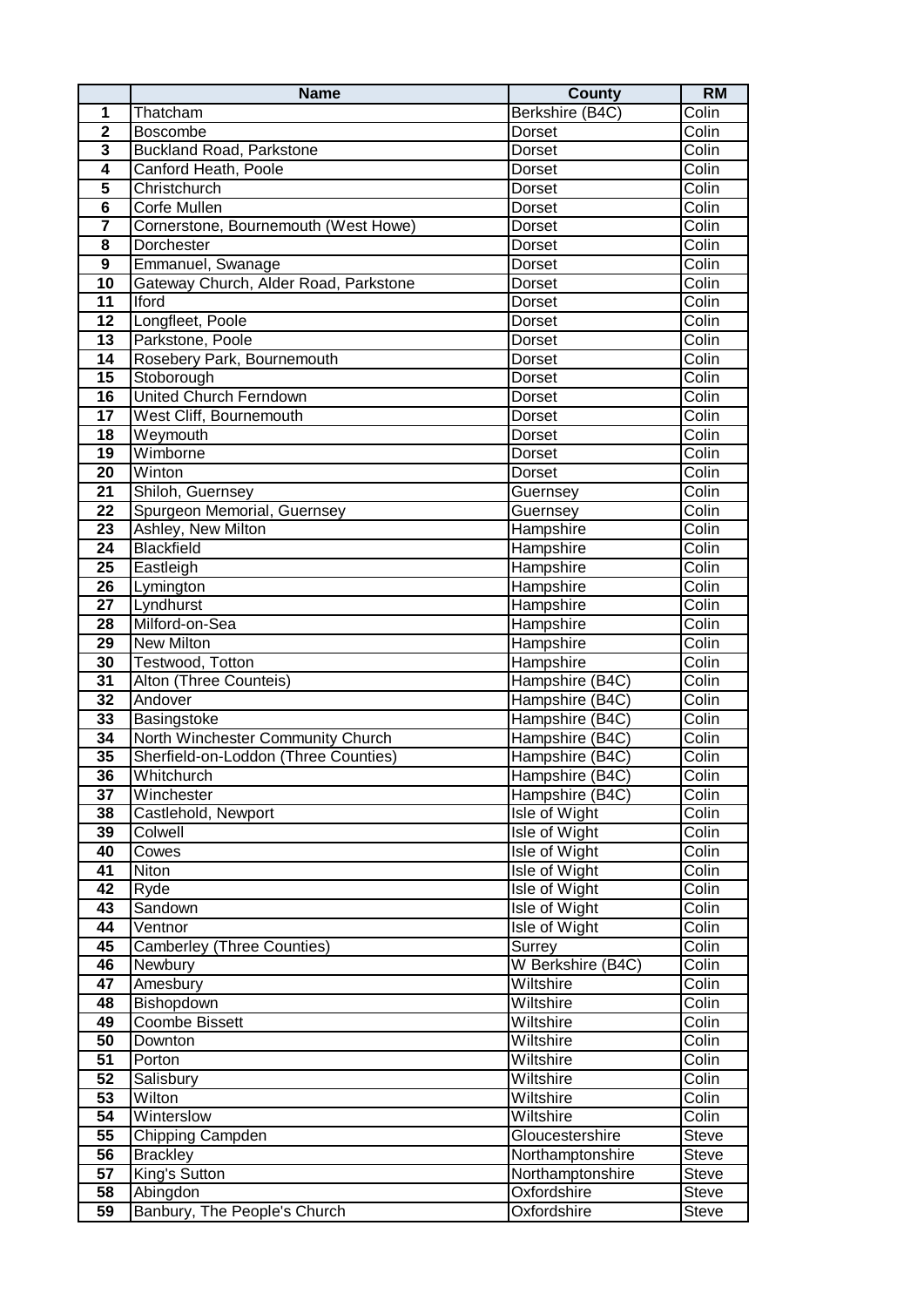|                         | <b>Name</b>                           | <b>County</b>                        | <b>RM</b>    |
|-------------------------|---------------------------------------|--------------------------------------|--------------|
| 1                       | Thatcham                              | Berkshire (B4C)                      | Colin        |
| $\overline{2}$          | Boscombe                              | Dorset                               | Colin        |
| 3                       | <b>Buckland Road, Parkstone</b>       | Dorset                               | Colin        |
| $\overline{4}$          | Canford Heath, Poole                  | Dorset                               | Colin        |
| $\overline{\mathbf{5}}$ | Christchurch                          | Dorset                               | Colin        |
| $\overline{6}$          | Corfe Mullen                          | Dorset                               | Colin        |
| 7                       | Cornerstone, Bournemouth (West Howe)  | Dorset                               | Colin        |
| 8                       | Dorchester                            | Dorset                               | Colin        |
| $\boldsymbol{9}$        | Emmanuel, Swanage                     | Dorset                               | Colin        |
| 10                      | Gateway Church, Alder Road, Parkstone | Dorset                               | Colin        |
| 11                      | <b>Iford</b>                          | Dorset                               | Colin        |
| 12                      | Longfleet, Poole                      | Dorset                               | Colin        |
| 13                      | Parkstone, Poole                      | Dorset                               | Colin        |
| 14                      | Rosebery Park, Bournemouth            | Dorset                               | Colin        |
| 15                      | Stoborough                            | <b>Dorset</b>                        | Colin        |
|                         | <b>United Church Ferndown</b>         |                                      | Colin        |
| 16<br>$\overline{17}$   |                                       | <b>Dorset</b>                        | Colin        |
|                         | West Cliff, Bournemouth               | Dorset                               |              |
| 18                      | Weymouth                              | <b>Dorset</b>                        | Colin        |
| 19                      | Wimborne                              | Dorset                               | Colin        |
| 20                      | Winton                                | Dorset                               | Colin        |
| 21                      | Shiloh, Guernsey                      | Guernsey                             | Colin        |
| $\overline{22}$         | Spurgeon Memorial, Guernsey           | Guernsey                             | Colin        |
| 23                      | Ashley, New Milton                    | Hampshire                            | Colin        |
| 24                      | Blackfield                            | Hampshire                            | Colin        |
| 25                      | Eastleigh                             | Hampshire                            | Colin        |
| 26                      | Lymington                             | Hampshire                            | Colin        |
| 27                      | Lyndhurst                             | Hampshire                            | Colin        |
| 28                      | Milford-on-Sea                        | Hampshire                            | Colin        |
| 29                      | <b>New Milton</b>                     | Hampshire                            | Colin        |
| 30                      | Testwood, Totton                      | Hampshire                            | Colin        |
| $\overline{31}$         | Alton (Three Counteis)                | Hampshire (B4C)                      | Colin        |
| 32                      | Andover                               | Hampshire (B4C)                      | Colin        |
| 33                      | Basingstoke                           | Hampshire (B4C)                      | Colin        |
| 34                      | North Winchester Community Church     | Hampshire (B4C)                      | Colin        |
| 35                      | Sherfield-on-Loddon (Three Counties)  | Hampshire (B4C)                      | Colin        |
| 36                      | Whitchurch                            | Hampshire (B4C)                      | Colin        |
| 37                      | Winchester                            | Hampshire (B4C)                      | Colin        |
| 38                      | Castlehold, Newport                   | Isle of Wight                        | Colin        |
| 39                      | Colwell                               | Isle of Wight                        | Colin        |
| 40                      | Cowes                                 | Isle of Wight                        | Colin        |
| 41                      | Niton                                 | Isle of Wight                        | Colin        |
| 42                      | Ryde                                  | <b>Isle of Wight</b>                 | Colin        |
| 43                      | Sandown                               | Isle of Wight                        | Colin        |
| 44                      | Ventnor                               | Isle of Wight                        | Colin        |
| 45                      | <b>Camberley (Three Counties)</b>     | Surrey                               | Colin        |
| 46                      | Newbury                               | W Berkshire (B4C)                    | Colin        |
| 47                      | Amesbury                              | Wiltshire                            | Colin        |
| 48                      | Bishopdown                            | Wiltshire                            | Colin        |
| 49                      | Coombe Bissett                        | Wiltshire                            | Colin        |
| 50                      | Downton                               | Wiltshire                            | Colin        |
| 51                      | Porton                                | Wiltshire                            | Colin        |
| 52                      | Salisbury                             | Wiltshire                            | Colin        |
| 53                      | Wilton                                | Wiltshire                            | Colin        |
| 54                      | Winterslow                            | Wiltshire                            | Colin        |
| 55                      |                                       | Gloucestershire                      |              |
|                         | Chipping Campden                      |                                      | Steve        |
| 56                      | <b>Brackley</b>                       | Northamptonshire<br>Northamptonshire | Steve        |
| $\overline{57}$         | King's Sutton                         |                                      | Steve        |
| 58                      | Abingdon                              | Oxfordshire                          | Steve        |
| 59                      | Banbury, The People's Church          | Oxfordshire                          | <b>Steve</b> |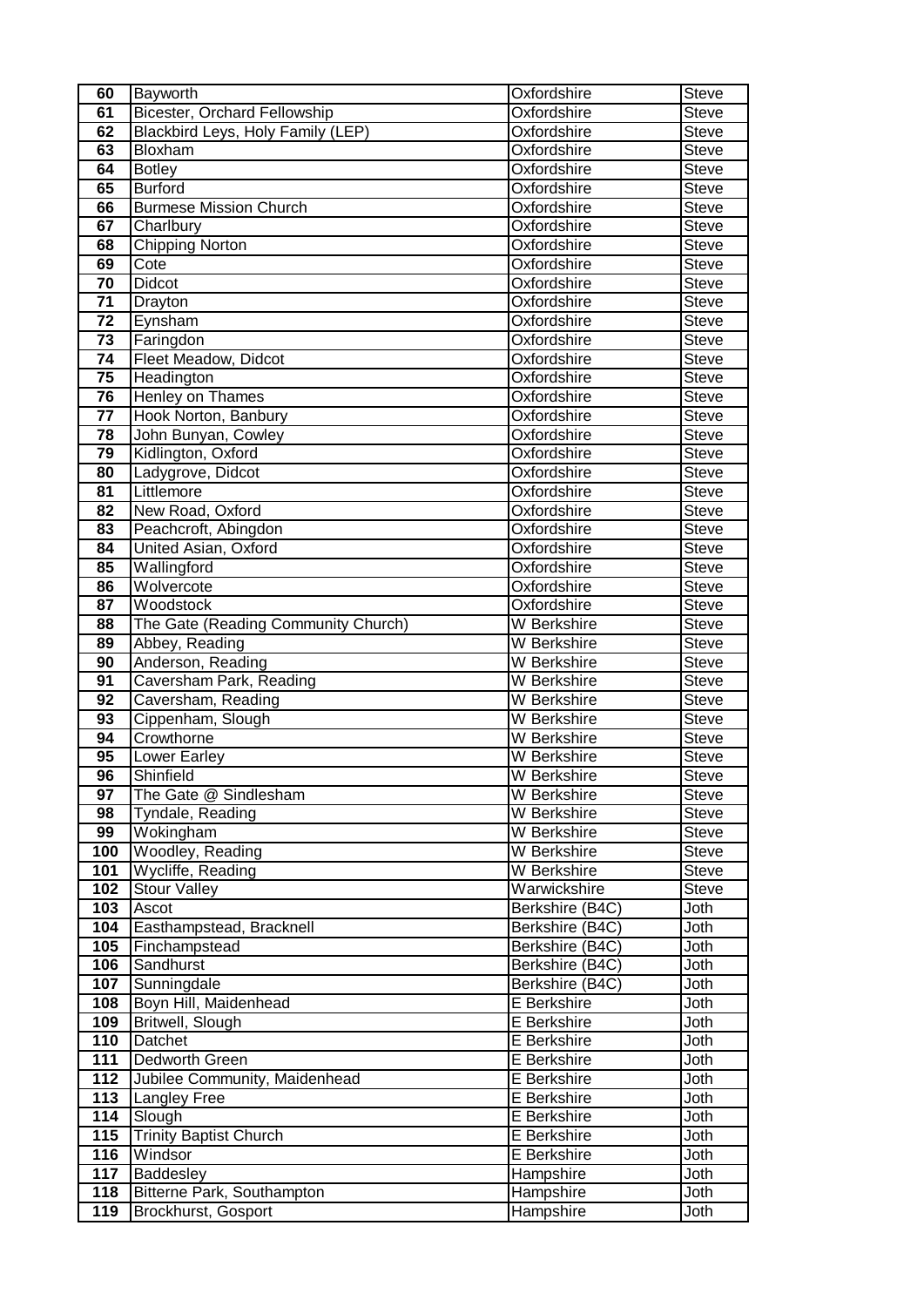| 60              | Bayworth                                             | Oxfordshire                | Steve        |
|-----------------|------------------------------------------------------|----------------------------|--------------|
| 61              | <b>Bicester, Orchard Fellowship</b>                  | Oxfordshire                | <b>Steve</b> |
| 62              | Blackbird Leys, Holy Family (LEP)                    | Oxfordshire                | Steve        |
| 63              | Bloxham                                              | Oxfordshire                | <b>Steve</b> |
| 64              | <b>Botley</b>                                        | Oxfordshire                | <b>Steve</b> |
| 65              | <b>Burford</b>                                       | Oxfordshire                | <b>Steve</b> |
| 66              | <b>Burmese Mission Church</b>                        | Oxfordshire                | <b>Steve</b> |
| 67              | Charlbury                                            | Oxfordshire                | <b>Steve</b> |
| 68              | <b>Chipping Norton</b>                               | Oxfordshire                | <b>Steve</b> |
| 69              | Cote                                                 | Oxfordshire                | <b>Steve</b> |
| 70              | <b>Didcot</b>                                        | Oxfordshire                | <b>Steve</b> |
| $\overline{71}$ | Drayton                                              | Oxfordshire                | <b>Steve</b> |
| 72              | Eynsham                                              | Oxfordshire                | <b>Steve</b> |
| 73              | Faringdon                                            | Oxfordshire                | <b>Steve</b> |
| 74              | Fleet Meadow, Didcot                                 | Oxfordshire                | <b>Steve</b> |
| $\overline{75}$ | Headington                                           | Oxfordshire                | <b>Steve</b> |
| 76              | <b>Henley on Thames</b>                              | Oxfordshire                | <b>Steve</b> |
| $\overline{77}$ | Hook Norton, Banbury                                 | Oxfordshire                | <b>Steve</b> |
| 78              | John Bunyan, Cowley                                  | Oxfordshire                | <b>Steve</b> |
| $\overline{79}$ | Kidlington, Oxford                                   | Oxfordshire                | <b>Steve</b> |
| 80              | Ladygrove, Didcot                                    | Oxfordshire                | <b>Steve</b> |
| 81              | Littlemore                                           | Oxfordshire                | Steve        |
| 82              | New Road, Oxford                                     | Oxfordshire                | <b>Steve</b> |
| 83              | Peachcroft, Abingdon                                 | Oxfordshire                | Steve        |
| 84              | United Asian, Oxford                                 | Oxfordshire                | Steve        |
| 85              | Wallingford                                          | Oxfordshire                | Steve        |
| 86              | Wolvercote                                           | Oxfordshire                | <b>Steve</b> |
| 87              | Woodstock                                            | Oxfordshire                | <b>Steve</b> |
| 88              | The Gate (Reading Community Church)                  | W Berkshire                | Steve        |
| 89              | Abbey, Reading                                       | W Berkshire                | Steve        |
| 90              | Anderson, Reading                                    | W Berkshire                | <b>Steve</b> |
| $\overline{91}$ | Caversham Park, Reading                              | W Berkshire                | <b>Steve</b> |
| 92              | Caversham, Reading                                   | W Berkshire                | <b>Steve</b> |
| 93              | Cippenham, Slough                                    | W Berkshire                | <b>Steve</b> |
| 94              | Crowthorne                                           | W Berkshire                | <b>Steve</b> |
| 95              | Lower Earley                                         | W Berkshire                | <b>Steve</b> |
| $\overline{96}$ | Shinfield                                            | W Berkshire                | <b>Steve</b> |
| 97              | The Gate @ Sindlesham                                | W Berkshire                | <b>Steve</b> |
| 98              | Tyndale, Reading                                     | W Berkshire                | <b>Steve</b> |
| 99              | Wokingham                                            | W Berkshire                | Steve        |
| 100             | <b>Woodley, Reading</b>                              | W Berkshire                | <b>Steve</b> |
| 101             | Wycliffe, Reading                                    | W Berkshire                | <b>Steve</b> |
| 102             | <b>Stour Valley</b>                                  | Warwickshire               | Steve        |
| 103             | Ascot                                                | Berkshire (B4C)            | Joth         |
| 104             | Easthampstead, Bracknell                             | Berkshire (B4C)            | Joth         |
| 105             | Finchampstead                                        | Berkshire (B4C)            | Joth         |
| 106             | Sandhurst                                            | Berkshire (B4C)            | Joth         |
| 107             | Sunningdale                                          | Berkshire (B4C)            | Joth         |
| 108             | Boyn Hill, Maidenhead                                | E Berkshire                | Joth         |
| 109             | Britwell, Slough                                     | E Berkshire                | Joth         |
| 110             | Datchet                                              | E Berkshire                | Joth         |
| 111             | Dedworth Green                                       | E Berkshire                | Joth         |
| 112<br>113      | Jubilee Community, Maidenhead<br><b>Langley Free</b> | E Berkshire                | Joth         |
| 114             |                                                      | E Berkshire<br>E Berkshire | Joth         |
| 115             | Slough<br><b>Trinity Baptist Church</b>              | E Berkshire                | Joth<br>Joth |
| 116             | Windsor                                              | E Berkshire                | Joth         |
| 117             | Baddesley                                            | Hampshire                  | Joth         |
| 118             | Bitterne Park, Southampton                           | Hampshire                  | Joth         |
| 119             | Brockhurst, Gosport                                  | Hampshire                  | Joth         |
|                 |                                                      |                            |              |